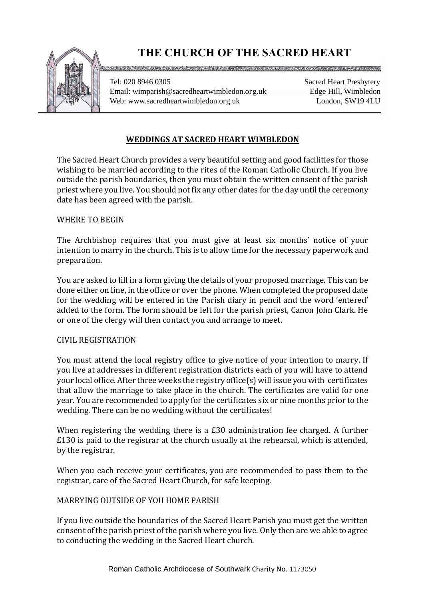

# **THE CHURCH OF THE SACRED HEART**

Tel: 020 8946 0305 Email: wimparish@sacredheartwimbledon.org.uk Web: www.sacredheartwimbledon.org.uk

Sacred Heart Presbytery Edge Hill, Wimbledon London, SW19 4LU

## **WEDDINGS AT SACRED HEART WIMBLEDON**

The Sacred Heart Church provides a very beautiful setting and good facilities for those wishing to be married according to the rites of the Roman Catholic Church. If you live outside the parish boundaries, then you must obtain the written consent of the parish priest where you live. You should not fix any other dates for the day until the ceremony date has been agreed with the parish.

## WHERE TO BEGIN

The Archbishop requires that you must give at least six months' notice of your intention to marry in the church. This is to allow time for the necessary paperwork and preparation.

You are asked to fill in a form giving the details of your proposed marriage. This can be done either on line, in the office or over the phone. When completed the proposed date for the wedding will be entered in the Parish diary in pencil and the word 'entered' added to the form. The form should be left for the parish priest, Canon John Clark. He or one of the clergy will then contact you and arrange to meet.

## CIVIL REGISTRATION

You must attend the local registry office to give notice of your intention to marry. If you live at addresses in different registration districts each of you will have to attend your local office. After three weeks the registry office(s) will issue you with certificates that allow the marriage to take place in the church. The certificates are valid for one year. You are recommended to apply for the certificates six or nine months prior to the wedding. There can be no wedding without the certificates!

When registering the wedding there is a £30 administration fee charged. A further £130 is paid to the registrar at the church usually at the rehearsal, which is attended, by the registrar.

When you each receive your certificates, you are recommended to pass them to the registrar, care of the Sacred Heart Church, for safe keeping.

## MARRYING OUTSIDE OF YOU HOME PARISH

*R.C. DIOCESE OF SOUTHWARK REGISTERED CHARITY No. 235468* to conducting the wedding in the Sacred Heart church.If you live outside the boundaries of the Sacred Heart Parish you must get the written consent of the parish priest of the parish where you live. Only then are we able to agree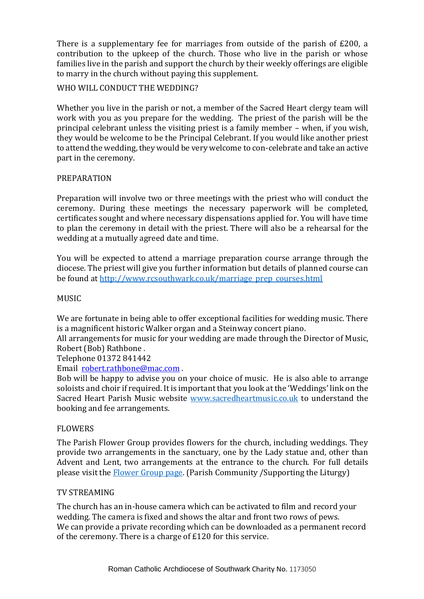There is a supplementary fee for marriages from outside of the parish of £200, a contribution to the upkeep of the church. Those who live in the parish or whose families live in the parish and support the church by their weekly offerings are eligible to marry in the church without paying this supplement.

## WHO WILL CONDUCT THE WEDDING?

Whether you live in the parish or not, a member of the Sacred Heart clergy team will work with you as you prepare for the wedding. The priest of the parish will be the principal celebrant unless the visiting priest is a family member – when, if you wish, they would be welcome to be the Principal Celebrant. If you would like another priest to attend the wedding, they would be very welcome to con-celebrate and take an active part in the ceremony.

## PREPARATION

Preparation will involve two or three meetings with the priest who will conduct the ceremony. During these meetings the necessary paperwork will be completed, certificates sought and where necessary dispensations applied for. You will have time to plan the ceremony in detail with the priest. There will also be a rehearsal for the wedding at a mutually agreed date and time.

You will be expected to attend a marriage preparation course arrange through the diocese. The priest will give you further information but details of planned course can be found at [http://www.rcsouthwark.co.uk/marriage\\_prep\\_courses.html](http://www.rcsouthwark.co.uk/marriage_prep_courses.html)

#### MUSIC

We are fortunate in being able to offer exceptional facilities for wedding music. There is a magnificent historic Walker organ and a Steinway concert piano.

All arrangements for music for your wedding are made through the Director of Music, Robert (Bob) Rathbone .

Telephone 01372 841442

Email [robert.rathbone@mac.com](mailto:robert.rathbone@mac.com) .

Bob will be happy to advise you on your choice of music. He is also able to arrange soloists and choir if required. It is important that you look at the 'Weddings' link on the Sacred Heart Parish Music website [www.sacredheartmusic.co.uk](https://sacredheartchurch219-my.sharepoint.com/personal/finance_sacredheartwimbledon_org_uk/Documents/Website%20and%20Database/Webpages/Weddings/www.sacredheartmusic.co.uk) to understand the booking and fee arrangements.

#### FLOWERS

The Parish Flower Group provides flowers for the church, including weddings. They provide two arrangements in the sanctuary, one by the Lady statue and, other than Advent and Lent, two arrangements at the entrance to the church. For full details please visit the [Flower Group page.](https://www.sacredheartwimbledon.org.uk/Groups/290594/Flower_Group.aspx) (Parish Community /Supporting the Liturgy)

#### TV STREAMING

The church has an in-house camera which can be activated to film and record your wedding. The camera is fixed and shows the altar and front two rows of pews. We can provide a private recording which can be downloaded as a permanent record of the ceremony. There is a charge of £120 for this service.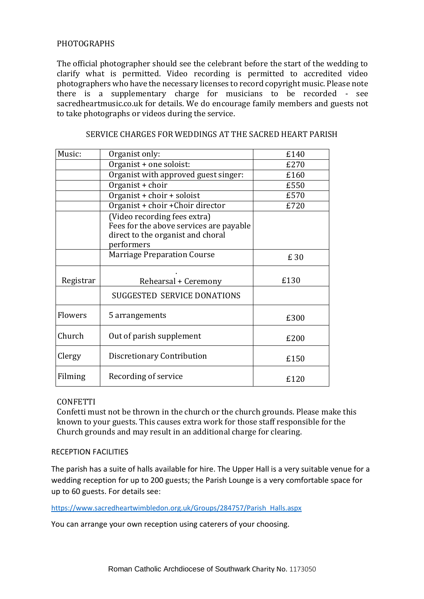## PHOTOGRAPHS

The official photographer should see the celebrant before the start of the wedding to clarify what is permitted. Video recording is permitted to accredited video photographers who have the necessary licenses to record copyright music. Please note there is a supplementary charge for musicians to be recorded - see sacredheartmusic.co.uk for details. We do encourage family members and guests not to take photographs or videos during the service.

| Music:    | Organist only:                                                                                                             | £140 |
|-----------|----------------------------------------------------------------------------------------------------------------------------|------|
|           | Organist + one soloist:                                                                                                    | £270 |
|           | Organist with approved guest singer:                                                                                       | £160 |
|           | Organist + choir                                                                                                           | £550 |
|           | Organist + choir + soloist                                                                                                 | £570 |
|           | Organist + choir + Choir director                                                                                          | £720 |
|           | (Video recording fees extra)<br>Fees for the above services are payable<br>direct to the organist and choral<br>performers |      |
|           | <b>Marriage Preparation Course</b>                                                                                         | £ 30 |
| Registrar | Rehearsal + Ceremony                                                                                                       | £130 |
|           | SUGGESTED SERVICE DONATIONS                                                                                                |      |
| Flowers   | 5 arrangements                                                                                                             | £300 |
| Church    | Out of parish supplement                                                                                                   | £200 |
| Clergy    | Discretionary Contribution                                                                                                 | £150 |
| Filming   | Recording of service                                                                                                       | £120 |

## SERVICE CHARGES FOR WEDDINGS AT THE SACRED HEART PARISH

#### **CONFETTI**

Confetti must not be thrown in the church or the church grounds. Please make this known to your guests. This causes extra work for those staff responsible for the Church grounds and may result in an additional charge for clearing.

#### RECEPTION FACILITIES

The parish has a suite of halls available for hire. The Upper Hall is a very suitable venue for a wedding reception for up to 200 guests; the Parish Lounge is a very comfortable space for up to 60 guests. For details see:

[https://www.sacredheartwimbledon.org.uk/Groups/284757/Parish\\_Halls.aspx](https://www.sacredheartwimbledon.org.uk/Groups/284757/Parish_Halls.aspx)

You can arrange your own reception using caterers of your choosing.